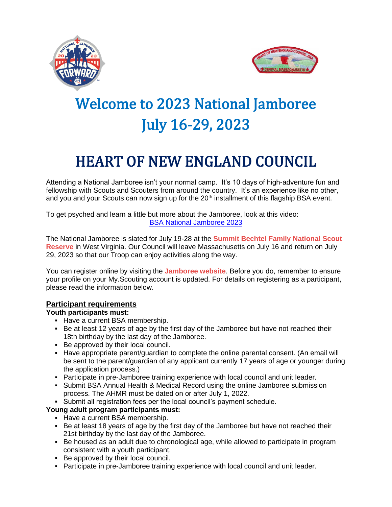



# Welcome to 2023 National Jamboree July 16-29, 2023

## HEART OF NEW ENGLAND COUNCIL

Attending a National Jamboree isn't your normal camp. It's 10 days of high-adventure fun and fellowship with Scouts and Scouters from around the country. It's an experience like no other, and you and your Scouts can now sign up for the 20<sup>th</sup> installment of this flagship BSA event.

To get psyched and learn a little but more about the Jamboree, look at this video: [BSA National Jamboree 2023](https://youtu.be/veWwTG-gNUo)

The National Jamboree is slated for July 19-28 at the **Summit Bechtel Family [National](https://www.summitbsa.org/) Scout [Reserve](https://www.summitbsa.org/)** in West Virginia. Our Council will leave Massachusetts on July 16 and return on July 29, 2023 so that our Troop can enjoy activities along the way.

You can register online by visiting the **[Jamboree](https://jamboree.scouting.org/) website**. Before you do, remember to ensure your profile on your My.Scouting account is updated. For details on registering as a participant, please read the information below.

#### **Participant requirements**

#### **Youth participants must:**

- Have a current BSA membership.
- Be at least 12 years of age by the first day of the Jamboree but have not reached their 18th birthday by the last day of the Jamboree.
- Be approved by their local council.
- Have appropriate parent/guardian to complete the online parental consent. (An email will be sent to the parent/guardian of any applicant currently 17 years of age or younger during the application process.)
- **Participate in pre-Jamboree training experience with local council and unit leader.**
- Submit BSA Annual Health & Medical Record using the online Jamboree submission process. The AHMR must be dated on or after July 1, 2022.
- Submit all registration fees per the local council's payment schedule.

#### **Young adult program participants must:**

- Have a current BSA membership.
- Be at least 18 years of age by the first day of the Jamboree but have not reached their 21st birthday by the last day of the Jamboree.
- Be housed as an adult due to chronological age, while allowed to participate in program consistent with a youth participant.
- Be approved by their local council.
- **Participate in pre-Jamboree training experience with local council and unit leader.**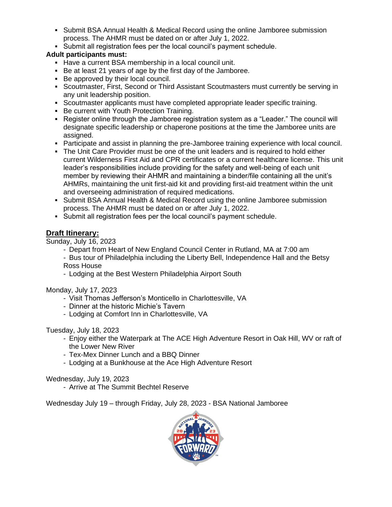- Submit BSA Annual Health & Medical Record using the online Jamboree submission process. The AHMR must be dated on or after July 1, 2022.
- Submit all registration fees per the local council's payment schedule.

#### **Adult participants must:**

- Have a current BSA membership in a local council unit.
- Be at least 21 years of age by the first day of the Jamboree.
- Be approved by their local council.
- **Scoutmaster, First, Second or Third Assistant Scoutmasters must currently be serving in** any unit leadership position.
- Scoutmaster applicants must have completed appropriate leader specific training.
- **Be current with Youth Protection Training.**
- Register online through the Jamboree registration system as a "Leader." The council will designate specific leadership or chaperone positions at the time the Jamboree units are assigned.
- Participate and assist in planning the pre-Jamboree training experience with local council.
- The Unit Care Provider must be one of the unit leaders and is required to hold either current Wilderness First Aid and CPR certificates or a current healthcare license. This unit leader's responsibilities include providing for the safety and well-being of each unit member by reviewing their AHMR and maintaining a binder/file containing all the unit's AHMRs, maintaining the unit first-aid kit and providing first-aid treatment within the unit and overseeing administration of required medications.
- Submit BSA Annual Health & Medical Record using the online Jamboree submission process. The AHMR must be dated on or after July 1, 2022.
- Submit all registration fees per the local council's payment schedule.

#### **Draft Itinerary:**

Sunday, July 16, 2023

- Depart from Heart of New England Council Center in Rutland, MA at 7:00 am
- Bus tour of Philadelphia including the Liberty Bell, Independence Hall and the Betsy Ross House
- Lodging at the Best Western Philadelphia Airport South

Monday, July 17, 2023

- Visit Thomas Jefferson's Monticello in Charlottesville, VA
- Dinner at the historic Michie's Tavern
- Lodging at Comfort Inn in Charlottesville, VA

Tuesday, July 18, 2023

- Enjoy either the Waterpark at The ACE High Adventure Resort in Oak Hill, WV or raft of the Lower New River
- Tex-Mex Dinner Lunch and a BBQ Dinner
- Lodging at a Bunkhouse at the Ace High Adventure Resort

#### Wednesday, July 19, 2023

- Arrive at The Summit Bechtel Reserve

Wednesday July 19 – through Friday, July 28, 2023 - BSA National Jamboree

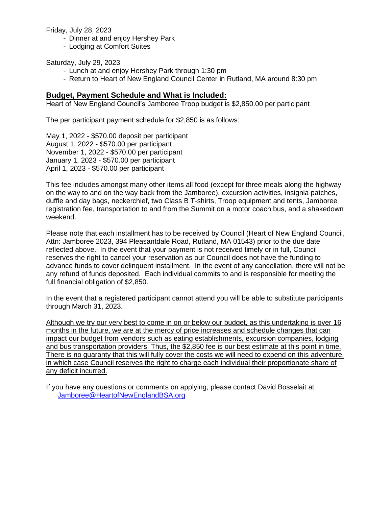Friday, July 28, 2023

- Dinner at and enjoy Hershey Park
- Lodging at Comfort Suites

Saturday, July 29, 2023

- Lunch at and enjoy Hershey Park through 1:30 pm
- Return to Heart of New England Council Center in Rutland, MA around 8:30 pm

#### **Budget, Payment Schedule and What is Included:**

Heart of New England Council's Jamboree Troop budget is \$2,850.00 per participant

The per participant payment schedule for \$2,850 is as follows:

May 1, 2022 - \$570.00 deposit per participant August 1, 2022 - \$570.00 per participant November 1, 2022 - \$570.00 per participant January 1, 2023 - \$570.00 per participant April 1, 2023 - \$570.00 per participant

This fee includes amongst many other items all food (except for three meals along the highway on the way to and on the way back from the Jamboree), excursion activities, insignia patches, duffle and day bags, neckerchief, two Class B T-shirts, Troop equipment and tents, Jamboree registration fee, transportation to and from the Summit on a motor coach bus, and a shakedown weekend.

Please note that each installment has to be received by Council (Heart of New England Council, Attn: Jamboree 2023, 394 Pleasantdale Road, Rutland, MA 01543) prior to the due date reflected above. In the event that your payment is not received timely or in full, Council reserves the right to cancel your reservation as our Council does not have the funding to advance funds to cover delinquent installment. In the event of any cancellation, there will not be any refund of funds deposited. Each individual commits to and is responsible for meeting the full financial obligation of \$2,850.

In the event that a registered participant cannot attend you will be able to substitute participants through March 31, 2023.

Although we try our very best to come in on or below our budget, as this undertaking is over 16 months in the future, we are at the mercy of price increases and schedule changes that can impact our budget from vendors such as eating establishments, excursion companies, lodging and bus transportation providers. Thus, the \$2,850 fee is our best estimate at this point in time. There is no guaranty that this will fully cover the costs we will need to expend on this adventure, in which case Council reserves the right to charge each individual their proportionate share of any deficit incurred.

If you have any questions or comments on applying, please contact David Bosselait at [Jamboree@HeartofNewEnglandBSA.org](mailto:Jamboree@HeartofNewEnglandBSA.org)